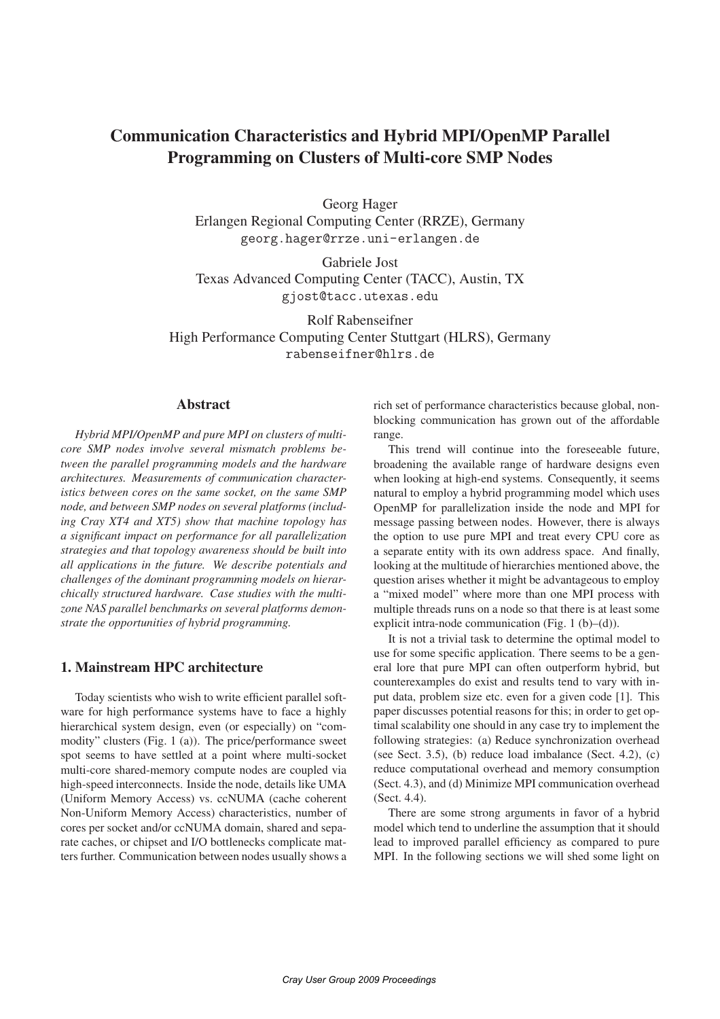# **Communication Characteristics and Hybrid MPI/OpenMP Parallel Programming on Clusters of Multi-core SMP Nodes**

Georg Hager Erlangen Regional Computing Center (RRZE), Germany georg.hager@rrze.uni-erlangen.de

Gabriele Jost Texas Advanced Computing Center (TACC), Austin, TX gjost@tacc.utexas.edu

Rolf Rabenseifner High Performance Computing Center Stuttgart (HLRS), Germany rabenseifner@hlrs.de

# **Abstract**

*Hybrid MPI/OpenMP and pure MPI on clusters of multicore SMP nodes involve several mismatch problems between the parallel programming models and the hardware architectures. Measurements of communication characteristics between cores on the same socket, on the same SMP node, and between SMP nodes on several platforms (including Cray XT4 and XT5) show that machine topology has a significant impact on performance for all parallelization strategies and that topology awareness should be built into all applications in the future. We describe potentials and challenges of the dominant programming models on hierarchically structured hardware. Case studies with the multizone NAS parallel benchmarks on several platforms demonstrate the opportunities of hybrid programming.*

# **1. Mainstream HPC architecture**

Today scientists who wish to write efficient parallel software for high performance systems have to face a highly hierarchical system design, even (or especially) on "commodity" clusters (Fig. 1 (a)). The price/performance sweet spot seems to have settled at a point where multi-socket multi-core shared-memory compute nodes are coupled via high-speed interconnects. Inside the node, details like UMA (Uniform Memory Access) vs. ccNUMA (cache coherent Non-Uniform Memory Access) characteristics, number of cores per socket and/or ccNUMA domain, shared and separate caches, or chipset and I/O bottlenecks complicate matters further. Communication between nodes usually shows a rich set of performance characteristics because global, nonblocking communication has grown out of the affordable range.

This trend will continue into the foreseeable future, broadening the available range of hardware designs even when looking at high-end systems. Consequently, it seems natural to employ a hybrid programming model which uses OpenMP for parallelization inside the node and MPI for message passing between nodes. However, there is always the option to use pure MPI and treat every CPU core as a separate entity with its own address space. And finally, looking at the multitude of hierarchies mentioned above, the question arises whether it might be advantageous to employ a "mixed model" where more than one MPI process with multiple threads runs on a node so that there is at least some explicit intra-node communication (Fig. 1 (b)–(d)).

It is not a trivial task to determine the optimal model to use for some specific application. There seems to be a general lore that pure MPI can often outperform hybrid, but counterexamples do exist and results tend to vary with input data, problem size etc. even for a given code [1]. This paper discusses potential reasons for this; in order to get optimal scalability one should in any case try to implement the following strategies: (a) Reduce synchronization overhead (see Sect. 3.5), (b) reduce load imbalance (Sect. 4.2), (c) reduce computational overhead and memory consumption (Sect. 4.3), and (d) Minimize MPI communication overhead (Sect. 4.4).

There are some strong arguments in favor of a hybrid model which tend to underline the assumption that it should lead to improved parallel efficiency as compared to pure MPI. In the following sections we will shed some light on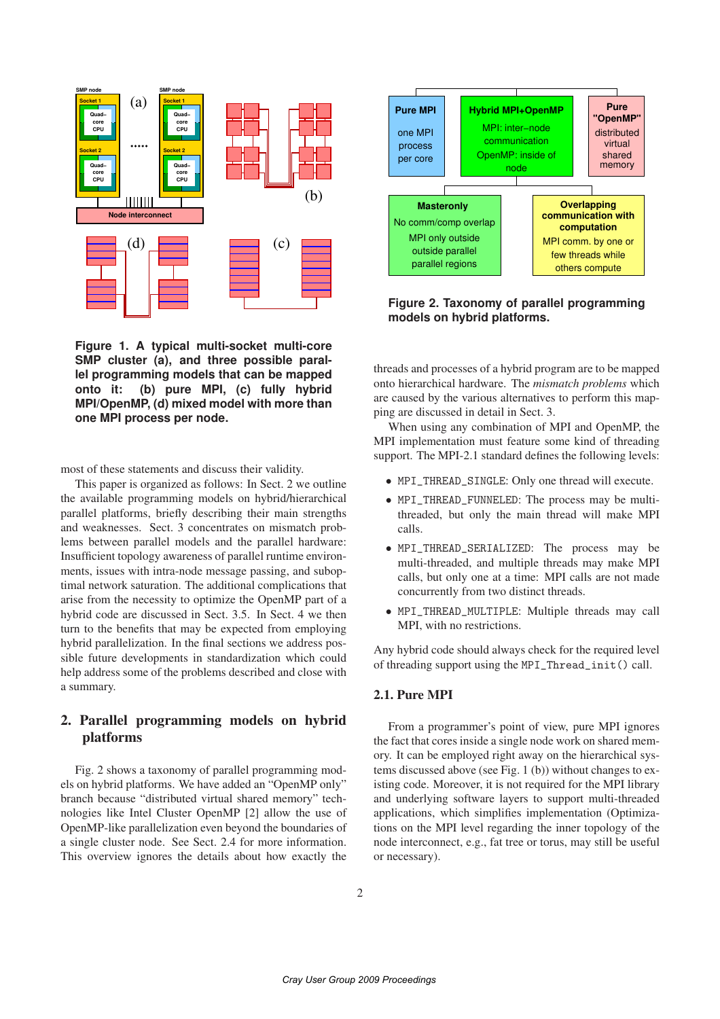

**Figure 1. A typical multi-socket multi-core SMP cluster (a), and three possible parallel programming models that can be mapped onto it: (b) pure MPI, (c) fully hybrid MPI/OpenMP, (d) mixed model with more than one MPI process per node.**

most of these statements and discuss their validity.

This paper is organized as follows: In Sect. 2 we outline the available programming models on hybrid/hierarchical parallel platforms, briefly describing their main strengths and weaknesses. Sect. 3 concentrates on mismatch problems between parallel models and the parallel hardware: Insufficient topology awareness of parallel runtime environments, issues with intra-node message passing, and suboptimal network saturation. The additional complications that arise from the necessity to optimize the OpenMP part of a hybrid code are discussed in Sect. 3.5. In Sect. 4 we then turn to the benefits that may be expected from employing hybrid parallelization. In the final sections we address possible future developments in standardization which could help address some of the problems described and close with a summary.

# **2. Parallel programming models on hybrid platforms**

Fig. 2 shows a taxonomy of parallel programming models on hybrid platforms. We have added an "OpenMP only" branch because "distributed virtual shared memory" technologies like Intel Cluster OpenMP [2] allow the use of OpenMP-like parallelization even beyond the boundaries of a single cluster node. See Sect. 2.4 for more information. This overview ignores the details about how exactly the



**Figure 2. Taxonomy of parallel programming models on hybrid platforms.**

threads and processes of a hybrid program are to be mapped onto hierarchical hardware. The *mismatch problems* which are caused by the various alternatives to perform this mapping are discussed in detail in Sect. 3.

When using any combination of MPI and OpenMP, the MPI implementation must feature some kind of threading support. The MPI-2.1 standard defines the following levels:

- MPI\_THREAD\_SINGLE: Only one thread will execute.
- MPI\_THREAD\_FUNNELED: The process may be multithreaded, but only the main thread will make MPI calls.
- MPI\_THREAD\_SERIALIZED: The process may be multi-threaded, and multiple threads may make MPI calls, but only one at a time: MPI calls are not made concurrently from two distinct threads.
- MPI\_THREAD\_MULTIPLE: Multiple threads may call MPI, with no restrictions.

Any hybrid code should always check for the required level of threading support using the MPI\_Thread\_init() call.

### **2.1. Pure MPI**

From a programmer's point of view, pure MPI ignores the fact that cores inside a single node work on shared memory. It can be employed right away on the hierarchical systems discussed above (see Fig. 1 (b)) without changes to existing code. Moreover, it is not required for the MPI library and underlying software layers to support multi-threaded applications, which simplifies implementation (Optimizations on the MPI level regarding the inner topology of the node interconnect, e.g., fat tree or torus, may still be useful or necessary).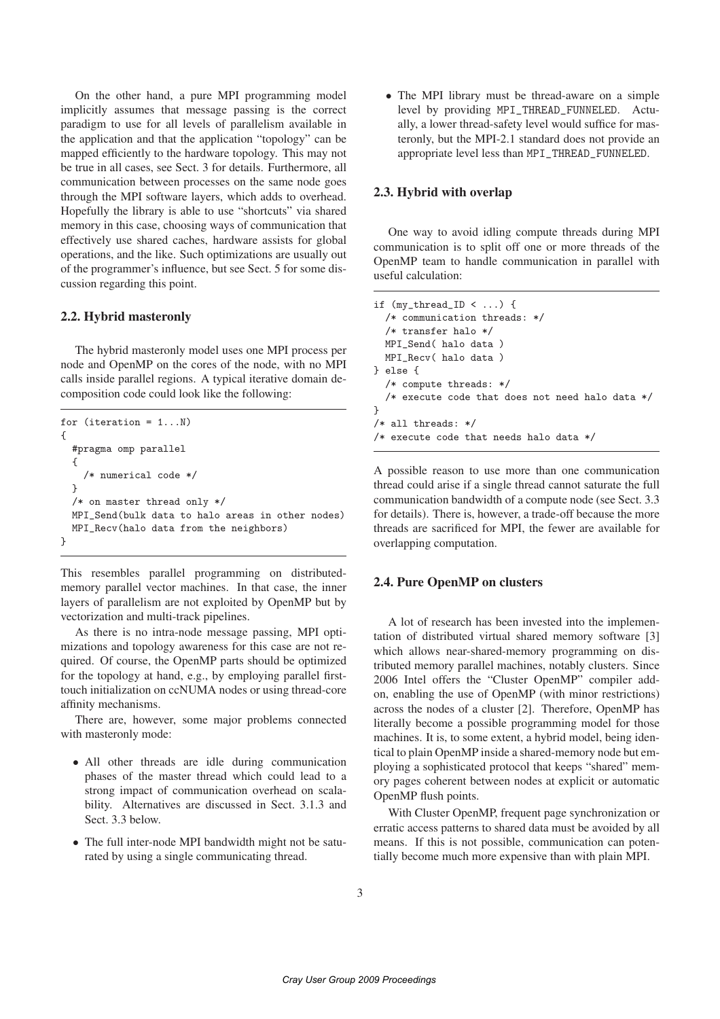On the other hand, a pure MPI programming model implicitly assumes that message passing is the correct paradigm to use for all levels of parallelism available in the application and that the application "topology" can be mapped efficiently to the hardware topology. This may not be true in all cases, see Sect. 3 for details. Furthermore, all communication between processes on the same node goes through the MPI software layers, which adds to overhead. Hopefully the library is able to use "shortcuts" via shared memory in this case, choosing ways of communication that effectively use shared caches, hardware assists for global operations, and the like. Such optimizations are usually out of the programmer's influence, but see Sect. 5 for some discussion regarding this point.

### **2.2. Hybrid masteronly**

The hybrid masteronly model uses one MPI process per node and OpenMP on the cores of the node, with no MPI calls inside parallel regions. A typical iterative domain decomposition code could look like the following:

```
for (iteration = 1...N)
{
  #pragma omp parallel
  {
    /* numerical code */
  }
  /* on master thread only */
 MPI_Send(bulk data to halo areas in other nodes)
 MPI_Recv(halo data from the neighbors)
}
```
This resembles parallel programming on distributedmemory parallel vector machines. In that case, the inner layers of parallelism are not exploited by OpenMP but by vectorization and multi-track pipelines.

As there is no intra-node message passing, MPI optimizations and topology awareness for this case are not required. Of course, the OpenMP parts should be optimized for the topology at hand, e.g., by employing parallel firsttouch initialization on ccNUMA nodes or using thread-core affinity mechanisms.

There are, however, some major problems connected with masteronly mode:

- All other threads are idle during communication phases of the master thread which could lead to a strong impact of communication overhead on scalability. Alternatives are discussed in Sect. 3.1.3 and Sect. 3.3 below.
- The full inter-node MPI bandwidth might not be saturated by using a single communicating thread.

• The MPI library must be thread-aware on a simple level by providing MPI\_THREAD\_FUNNELED. Actually, a lower thread-safety level would suffice for masteronly, but the MPI-2.1 standard does not provide an appropriate level less than MPI\_THREAD\_FUNNELED.

# **2.3. Hybrid with overlap**

One way to avoid idling compute threads during MPI communication is to split off one or more threads of the OpenMP team to handle communication in parallel with useful calculation:

```
if (my_{\text{thread}}ID \leq ...) {
  /* communication threads: */
  /* transfer halo */
 MPI_Send( halo data )
 MPI_Recv( halo data )
} else {
  /* compute threads: */
  /* execute code that does not need halo data */
}
/* all threads: */
/* execute code that needs halo data */
```
A possible reason to use more than one communication thread could arise if a single thread cannot saturate the full communication bandwidth of a compute node (see Sect. 3.3 for details). There is, however, a trade-off because the more threads are sacrificed for MPI, the fewer are available for overlapping computation.

### **2.4. Pure OpenMP on clusters**

A lot of research has been invested into the implementation of distributed virtual shared memory software [3] which allows near-shared-memory programming on distributed memory parallel machines, notably clusters. Since 2006 Intel offers the "Cluster OpenMP" compiler addon, enabling the use of OpenMP (with minor restrictions) across the nodes of a cluster [2]. Therefore, OpenMP has literally become a possible programming model for those machines. It is, to some extent, a hybrid model, being identical to plain OpenMP inside a shared-memory node but employing a sophisticated protocol that keeps "shared" memory pages coherent between nodes at explicit or automatic OpenMP flush points.

With Cluster OpenMP, frequent page synchronization or erratic access patterns to shared data must be avoided by all means. If this is not possible, communication can potentially become much more expensive than with plain MPI.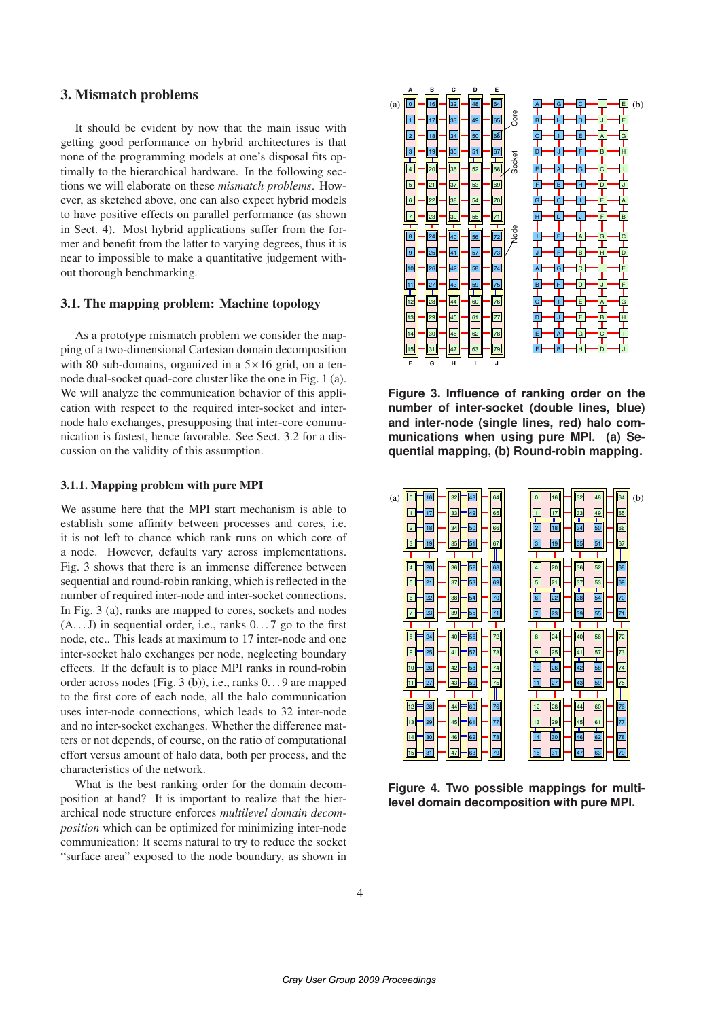# **3. Mismatch problems**

It should be evident by now that the main issue with getting good performance on hybrid architectures is that none of the programming models at one's disposal fits optimally to the hierarchical hardware. In the following sections we will elaborate on these *mismatch problems*. However, as sketched above, one can also expect hybrid models to have positive effects on parallel performance (as shown in Sect. 4). Most hybrid applications suffer from the former and benefit from the latter to varying degrees, thus it is near to impossible to make a quantitative judgement without thorough benchmarking.

# **3.1. The mapping problem: Machine topology**

As a prototype mismatch problem we consider the mapping of a two-dimensional Cartesian domain decomposition with 80 sub-domains, organized in a  $5 \times 16$  grid, on a tennode dual-socket quad-core cluster like the one in Fig. 1 (a). We will analyze the communication behavior of this application with respect to the required inter-socket and internode halo exchanges, presupposing that inter-core communication is fastest, hence favorable. See Sect. 3.2 for a discussion on the validity of this assumption.

#### **3.1.1. Mapping problem with pure MPI**

We assume here that the MPI start mechanism is able to establish some affinity between processes and cores, i.e. it is not left to chance which rank runs on which core of a node. However, defaults vary across implementations. Fig. 3 shows that there is an immense difference between sequential and round-robin ranking, which is reflected in the number of required inter-node and inter-socket connections. In Fig. 3 (a), ranks are mapped to cores, sockets and nodes  $(A...J)$  in sequential order, i.e., ranks  $0...7$  go to the first node, etc.. This leads at maximum to 17 inter-node and one inter-socket halo exchanges per node, neglecting boundary effects. If the default is to place MPI ranks in round-robin order across nodes (Fig. 3 (b)), i.e., ranks 0. . . 9 are mapped to the first core of each node, all the halo communication uses inter-node connections, which leads to 32 inter-node and no inter-socket exchanges. Whether the difference matters or not depends, of course, on the ratio of computational effort versus amount of halo data, both per process, and the characteristics of the network.

What is the best ranking order for the domain decomposition at hand? It is important to realize that the hierarchical node structure enforces *multilevel domain decomposition* which can be optimized for minimizing inter-node communication: It seems natural to try to reduce the socket "surface area" exposed to the node boundary, as shown in



**Figure 3. Influence of ranking order on the number of inter-socket (double lines, blue) and inter-node (single lines, red) halo communications when using pure MPI. (a) Sequential mapping, (b) Round-robin mapping.**



**Figure 4. Two possible mappings for multilevel domain decomposition with pure MPI.**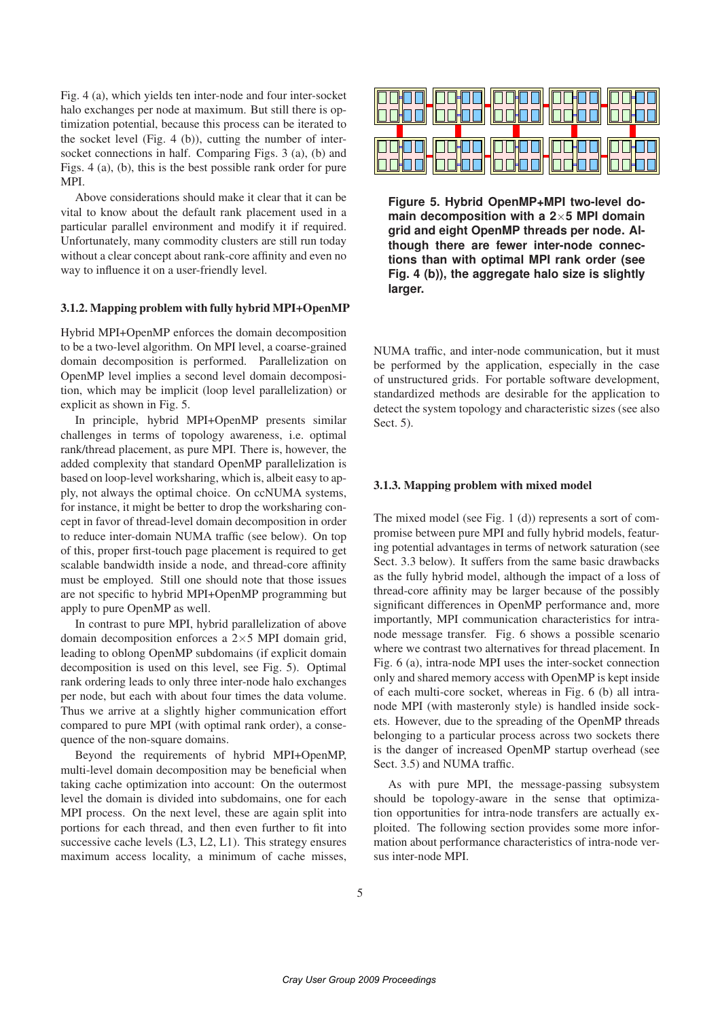Fig. 4 (a), which yields ten inter-node and four inter-socket halo exchanges per node at maximum. But still there is optimization potential, because this process can be iterated to the socket level (Fig. 4 (b)), cutting the number of intersocket connections in half. Comparing Figs. 3 (a), (b) and Figs. 4 (a), (b), this is the best possible rank order for pure MPI.

Above considerations should make it clear that it can be vital to know about the default rank placement used in a particular parallel environment and modify it if required. Unfortunately, many commodity clusters are still run today without a clear concept about rank-core affinity and even no way to influence it on a user-friendly level.

#### **3.1.2. Mapping problem with fully hybrid MPI+OpenMP**

Hybrid MPI+OpenMP enforces the domain decomposition to be a two-level algorithm. On MPI level, a coarse-grained domain decomposition is performed. Parallelization on OpenMP level implies a second level domain decomposition, which may be implicit (loop level parallelization) or explicit as shown in Fig. 5.

In principle, hybrid MPI+OpenMP presents similar challenges in terms of topology awareness, i.e. optimal rank/thread placement, as pure MPI. There is, however, the added complexity that standard OpenMP parallelization is based on loop-level worksharing, which is, albeit easy to apply, not always the optimal choice. On ccNUMA systems, for instance, it might be better to drop the worksharing concept in favor of thread-level domain decomposition in order to reduce inter-domain NUMA traffic (see below). On top of this, proper first-touch page placement is required to get scalable bandwidth inside a node, and thread-core affinity must be employed. Still one should note that those issues are not specific to hybrid MPI+OpenMP programming but apply to pure OpenMP as well.

In contrast to pure MPI, hybrid parallelization of above domain decomposition enforces a 2×5 MPI domain grid, leading to oblong OpenMP subdomains (if explicit domain decomposition is used on this level, see Fig. 5). Optimal rank ordering leads to only three inter-node halo exchanges per node, but each with about four times the data volume. Thus we arrive at a slightly higher communication effort compared to pure MPI (with optimal rank order), a consequence of the non-square domains.

Beyond the requirements of hybrid MPI+OpenMP, multi-level domain decomposition may be beneficial when taking cache optimization into account: On the outermost level the domain is divided into subdomains, one for each MPI process. On the next level, these are again split into portions for each thread, and then even further to fit into successive cache levels (L3, L2, L1). This strategy ensures maximum access locality, a minimum of cache misses,



**Figure 5. Hybrid OpenMP+MPI two-level domain decomposition with a 2**×**5 MPI domain grid and eight OpenMP threads per node. Although there are fewer inter-node connections than with optimal MPI rank order (see Fig. 4 (b)), the aggregate halo size is slightly larger.**

NUMA traffic, and inter-node communication, but it must be performed by the application, especially in the case of unstructured grids. For portable software development, standardized methods are desirable for the application to detect the system topology and characteristic sizes (see also Sect. 5).

#### **3.1.3. Mapping problem with mixed model**

The mixed model (see Fig. 1 (d)) represents a sort of compromise between pure MPI and fully hybrid models, featuring potential advantages in terms of network saturation (see Sect. 3.3 below). It suffers from the same basic drawbacks as the fully hybrid model, although the impact of a loss of thread-core affinity may be larger because of the possibly significant differences in OpenMP performance and, more importantly, MPI communication characteristics for intranode message transfer. Fig. 6 shows a possible scenario where we contrast two alternatives for thread placement. In Fig. 6 (a), intra-node MPI uses the inter-socket connection only and shared memory access with OpenMP is kept inside of each multi-core socket, whereas in Fig. 6 (b) all intranode MPI (with masteronly style) is handled inside sockets. However, due to the spreading of the OpenMP threads belonging to a particular process across two sockets there is the danger of increased OpenMP startup overhead (see Sect. 3.5) and NUMA traffic.

As with pure MPI, the message-passing subsystem should be topology-aware in the sense that optimization opportunities for intra-node transfers are actually exploited. The following section provides some more information about performance characteristics of intra-node versus inter-node MPI.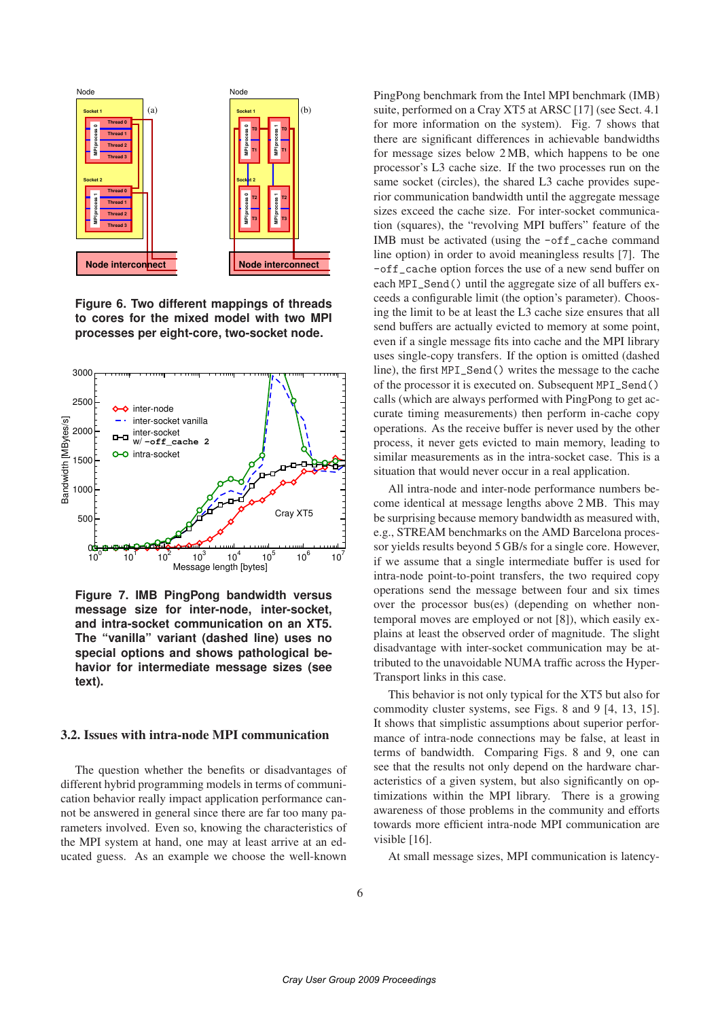

**Figure 6. Two different mappings of threads to cores for the mixed model with two MPI processes per eight-core, two-socket node.**



**Figure 7. IMB PingPong bandwidth versus message size for inter-node, inter-socket, and intra-socket communication on an XT5. The "vanilla" variant (dashed line) uses no special options and shows pathological behavior for intermediate message sizes (see text).**

# **3.2. Issues with intra-node MPI communication**

The question whether the benefits or disadvantages of different hybrid programming models in terms of communication behavior really impact application performance cannot be answered in general since there are far too many parameters involved. Even so, knowing the characteristics of the MPI system at hand, one may at least arrive at an educated guess. As an example we choose the well-known PingPong benchmark from the Intel MPI benchmark (IMB) suite, performed on a Cray XT5 at ARSC [17] (see Sect. 4.1) for more information on the system). Fig. 7 shows that there are significant differences in achievable bandwidths for message sizes below 2 MB, which happens to be one processor's L3 cache size. If the two processes run on the same socket (circles), the shared L3 cache provides superior communication bandwidth until the aggregate message sizes exceed the cache size. For inter-socket communication (squares), the "revolving MPI buffers" feature of the IMB must be activated (using the -off\_cache command line option) in order to avoid meaningless results [7]. The -off\_cache option forces the use of a new send buffer on each MPI\_Send() until the aggregate size of all buffers exceeds a configurable limit (the option's parameter). Choosing the limit to be at least the L3 cache size ensures that all send buffers are actually evicted to memory at some point, even if a single message fits into cache and the MPI library uses single-copy transfers. If the option is omitted (dashed line), the first MPI\_Send() writes the message to the cache of the processor it is executed on. Subsequent MPI\_Send() calls (which are always performed with PingPong to get accurate timing measurements) then perform in-cache copy operations. As the receive buffer is never used by the other process, it never gets evicted to main memory, leading to similar measurements as in the intra-socket case. This is a situation that would never occur in a real application.

All intra-node and inter-node performance numbers become identical at message lengths above 2 MB. This may be surprising because memory bandwidth as measured with, e.g., STREAM benchmarks on the AMD Barcelona processor yields results beyond 5 GB/s for a single core. However, if we assume that a single intermediate buffer is used for intra-node point-to-point transfers, the two required copy operations send the message between four and six times over the processor bus(es) (depending on whether nontemporal moves are employed or not [8]), which easily explains at least the observed order of magnitude. The slight disadvantage with inter-socket communication may be attributed to the unavoidable NUMA traffic across the Hyper-Transport links in this case.

This behavior is not only typical for the XT5 but also for commodity cluster systems, see Figs. 8 and 9 [4, 13, 15]. It shows that simplistic assumptions about superior performance of intra-node connections may be false, at least in terms of bandwidth. Comparing Figs. 8 and 9, one can see that the results not only depend on the hardware characteristics of a given system, but also significantly on optimizations within the MPI library. There is a growing awareness of those problems in the community and efforts towards more efficient intra-node MPI communication are visible [16].

At small message sizes, MPI communication is latency-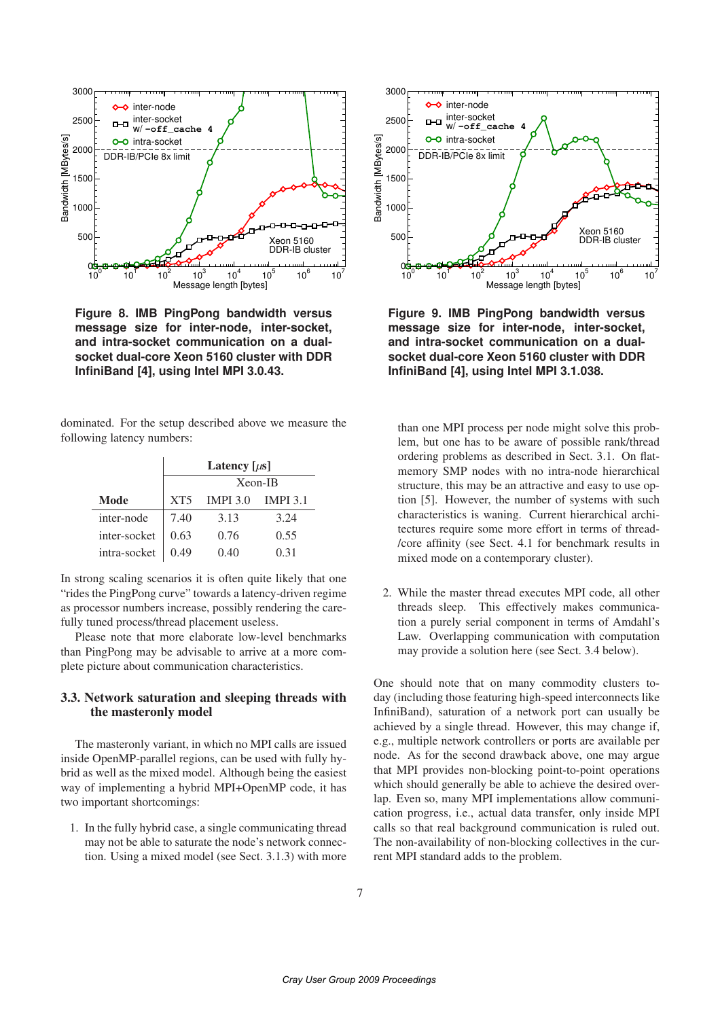

**Figure 8. IMB PingPong bandwidth versus message size for inter-node, inter-socket, and intra-socket communication on a dualsocket dual-core Xeon 5160 cluster with DDR InfiniBand [4], using Intel MPI 3.0.43.**

dominated. For the setup described above we measure the following latency numbers:

|              | Latency [ $\mu$ s] |                 |          |
|--------------|--------------------|-----------------|----------|
|              | Xeon-IB            |                 |          |
| Mode         | XT5                | <b>IMPI</b> 3.0 | IMPI 3.1 |
| inter-node   | 7.40               | 3.13            | 3.24     |
| inter-socket | 0.63               | 0.76            | 0.55     |
| intra-socket | 0.49               | 0.40            | 0.31     |

In strong scaling scenarios it is often quite likely that one "rides the PingPong curve" towards a latency-driven regime as processor numbers increase, possibly rendering the carefully tuned process/thread placement useless.

Please note that more elaborate low-level benchmarks than PingPong may be advisable to arrive at a more complete picture about communication characteristics.

# **3.3. Network saturation and sleeping threads with the masteronly model**

The masteronly variant, in which no MPI calls are issued inside OpenMP-parallel regions, can be used with fully hybrid as well as the mixed model. Although being the easiest way of implementing a hybrid MPI+OpenMP code, it has two important shortcomings:

1. In the fully hybrid case, a single communicating thread may not be able to saturate the node's network connection. Using a mixed model (see Sect. 3.1.3) with more



**Figure 9. IMB PingPong bandwidth versus message size for inter-node, inter-socket, and intra-socket communication on a dualsocket dual-core Xeon 5160 cluster with DDR InfiniBand [4], using Intel MPI 3.1.038.**

than one MPI process per node might solve this problem, but one has to be aware of possible rank/thread ordering problems as described in Sect. 3.1. On flatmemory SMP nodes with no intra-node hierarchical structure, this may be an attractive and easy to use option [5]. However, the number of systems with such characteristics is waning. Current hierarchical architectures require some more effort in terms of thread- /core affinity (see Sect. 4.1 for benchmark results in mixed mode on a contemporary cluster).

2. While the master thread executes MPI code, all other threads sleep. This effectively makes communication a purely serial component in terms of Amdahl's Law. Overlapping communication with computation may provide a solution here (see Sect. 3.4 below).

One should note that on many commodity clusters today (including those featuring high-speed interconnects like InfiniBand), saturation of a network port can usually be achieved by a single thread. However, this may change if, e.g., multiple network controllers or ports are available per node. As for the second drawback above, one may argue that MPI provides non-blocking point-to-point operations which should generally be able to achieve the desired overlap. Even so, many MPI implementations allow communication progress, i.e., actual data transfer, only inside MPI calls so that real background communication is ruled out. The non-availability of non-blocking collectives in the current MPI standard adds to the problem.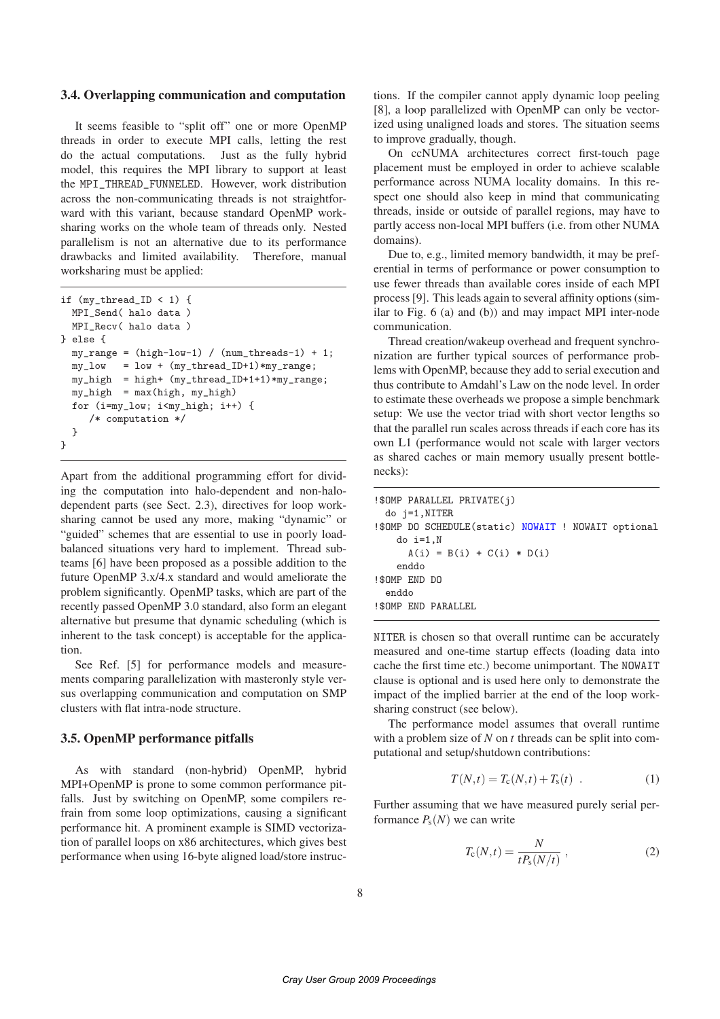### **3.4. Overlapping communication and computation**

It seems feasible to "split off" one or more OpenMP threads in order to execute MPI calls, letting the rest do the actual computations. Just as the fully hybrid model, this requires the MPI library to support at least the MPI\_THREAD\_FUNNELED. However, work distribution across the non-communicating threads is not straightforward with this variant, because standard OpenMP worksharing works on the whole team of threads only. Nested parallelism is not an alternative due to its performance drawbacks and limited availability. Therefore, manual worksharing must be applied:

```
if (my_thread_ID < 1) {
  MPI_Send( halo data )
  MPI_Recv( halo data )
} else {
 my\_range = (high-low-1) / (num\_threads-1) + 1;my_low = low + (my_thread_lD+1)*my_range;my_high = high+ (my_thread_ID+1+1)*my_range;
 my\_high = max(high, my\_high)for (i=my_low; i<my_high; i++) {
     /* computation */
  }
}
```
Apart from the additional programming effort for dividing the computation into halo-dependent and non-halodependent parts (see Sect. 2.3), directives for loop worksharing cannot be used any more, making "dynamic" or "guided" schemes that are essential to use in poorly loadbalanced situations very hard to implement. Thread subteams [6] have been proposed as a possible addition to the future OpenMP 3.x/4.x standard and would ameliorate the problem significantly. OpenMP tasks, which are part of the recently passed OpenMP 3.0 standard, also form an elegant alternative but presume that dynamic scheduling (which is inherent to the task concept) is acceptable for the application.

See Ref. [5] for performance models and measurements comparing parallelization with masteronly style versus overlapping communication and computation on SMP clusters with flat intra-node structure.

### **3.5. OpenMP performance pitfalls**

As with standard (non-hybrid) OpenMP, hybrid MPI+OpenMP is prone to some common performance pitfalls. Just by switching on OpenMP, some compilers refrain from some loop optimizations, causing a significant performance hit. A prominent example is SIMD vectorization of parallel loops on x86 architectures, which gives best performance when using 16-byte aligned load/store instructions. If the compiler cannot apply dynamic loop peeling [8], a loop parallelized with OpenMP can only be vectorized using unaligned loads and stores. The situation seems to improve gradually, though.

On ccNUMA architectures correct first-touch page placement must be employed in order to achieve scalable performance across NUMA locality domains. In this respect one should also keep in mind that communicating threads, inside or outside of parallel regions, may have to partly access non-local MPI buffers (i.e. from other NUMA domains).

Due to, e.g., limited memory bandwidth, it may be preferential in terms of performance or power consumption to use fewer threads than available cores inside of each MPI process [9]. This leads again to several affinity options (similar to Fig. 6 (a) and (b)) and may impact MPI inter-node communication.

Thread creation/wakeup overhead and frequent synchronization are further typical sources of performance problems with OpenMP, because they add to serial execution and thus contribute to Amdahl's Law on the node level. In order to estimate these overheads we propose a simple benchmark setup: We use the vector triad with short vector lengths so that the parallel run scales across threads if each core has its own L1 (performance would not scale with larger vectors as shared caches or main memory usually present bottlenecks):

```
!$OMP PARALLEL PRIVATE(j)
 do j=1,NITER
!$OMP DO SCHEDULE(static) NOWAIT ! NOWAIT optional
   do i=1,N
     A(i) = B(i) + C(i) * D(i)enddo
!$OMP END DO
 enddo
! $OMP END PARALLET.
```
NITER is chosen so that overall runtime can be accurately measured and one-time startup effects (loading data into cache the first time etc.) become unimportant. The NOWAIT clause is optional and is used here only to demonstrate the impact of the implied barrier at the end of the loop worksharing construct (see below).

The performance model assumes that overall runtime with a problem size of *N* on *t* threads can be split into computational and setup/shutdown contributions:

$$
T(N,t) = T_c(N,t) + T_s(t) . \t(1)
$$

Further assuming that we have measured purely serial performance  $P_s(N)$  we can write

$$
T_{\rm c}(N,t) = \frac{N}{tP_{\rm s}(N/t)}\,,\tag{2}
$$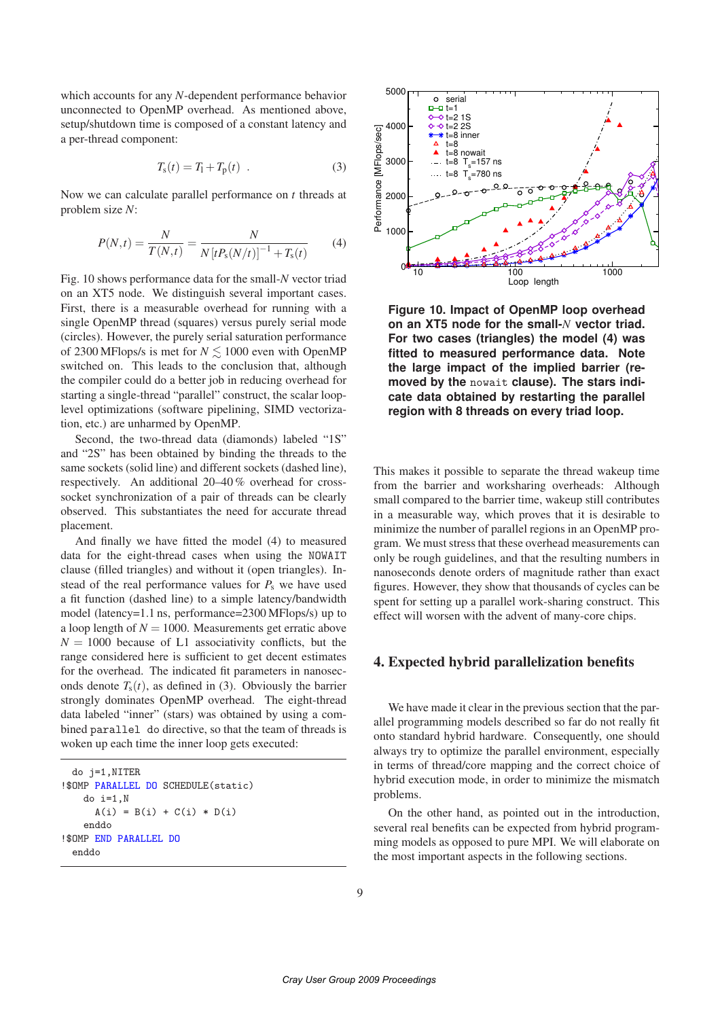which accounts for any *N*-dependent performance behavior unconnected to OpenMP overhead. As mentioned above, setup/shutdown time is composed of a constant latency and a per-thread component:

$$
T_{\rm s}(t) = T_{\rm l} + T_{\rm p}(t) \quad . \tag{3}
$$

Now we can calculate parallel performance on *t* threads at problem size *N*:

$$
P(N,t) = \frac{N}{T(N,t)} = \frac{N}{N[tP_{\rm s}(N/t)]^{-1} + T_{\rm s}(t)}
$$
(4)

Fig. 10 shows performance data for the small-*N* vector triad on an XT5 node. We distinguish several important cases. First, there is a measurable overhead for running with a single OpenMP thread (squares) versus purely serial mode (circles). However, the purely serial saturation performance of 2300 MFlops/s is met for  $N \le 1000$  even with OpenMP switched on. This leads to the conclusion that, although the compiler could do a better job in reducing overhead for starting a single-thread "parallel" construct, the scalar looplevel optimizations (software pipelining, SIMD vectorization, etc.) are unharmed by OpenMP.

Second, the two-thread data (diamonds) labeled "1S" and "2S" has been obtained by binding the threads to the same sockets (solid line) and different sockets (dashed line), respectively. An additional 20–40 % overhead for crosssocket synchronization of a pair of threads can be clearly observed. This substantiates the need for accurate thread placement.

And finally we have fitted the model (4) to measured data for the eight-thread cases when using the NOWAIT clause (filled triangles) and without it (open triangles). Instead of the real performance values for  $P_s$  we have used a fit function (dashed line) to a simple latency/bandwidth model (latency=1.1 ns, performance=2300 MFlops/s) up to a loop length of  $N = 1000$ . Measurements get erratic above  $N = 1000$  because of L1 associativity conflicts, but the range considered here is sufficient to get decent estimates for the overhead. The indicated fit parameters in nanoseconds denote  $T<sub>s</sub>(t)$ , as defined in (3). Obviously the barrier strongly dominates OpenMP overhead. The eight-thread data labeled "inner" (stars) was obtained by using a combined parallel do directive, so that the team of threads is woken up each time the inner loop gets executed:

```
do j=1,NITER
!$OMP PARALLEL DO SCHEDULE(static)
   do i=1,N
     A(i) = B(i) + C(i) * D(i)enddo
!$OMP END PARALLEL DO
 enddo
```


**Figure 10. Impact of OpenMP loop overhead on an XT5 node for the small-***N* **vector triad. For two cases (triangles) the model (4) was fitted to measured performance data. Note the large impact of the implied barrier (removed by the** nowait **clause). The stars indicate data obtained by restarting the parallel region with 8 threads on every triad loop.**

This makes it possible to separate the thread wakeup time from the barrier and worksharing overheads: Although small compared to the barrier time, wakeup still contributes in a measurable way, which proves that it is desirable to minimize the number of parallel regions in an OpenMP program. We must stress that these overhead measurements can only be rough guidelines, and that the resulting numbers in nanoseconds denote orders of magnitude rather than exact figures. However, they show that thousands of cycles can be spent for setting up a parallel work-sharing construct. This effect will worsen with the advent of many-core chips.

# **4. Expected hybrid parallelization benefits**

We have made it clear in the previous section that the parallel programming models described so far do not really fit onto standard hybrid hardware. Consequently, one should always try to optimize the parallel environment, especially in terms of thread/core mapping and the correct choice of hybrid execution mode, in order to minimize the mismatch problems.

On the other hand, as pointed out in the introduction, several real benefits can be expected from hybrid programming models as opposed to pure MPI. We will elaborate on the most important aspects in the following sections.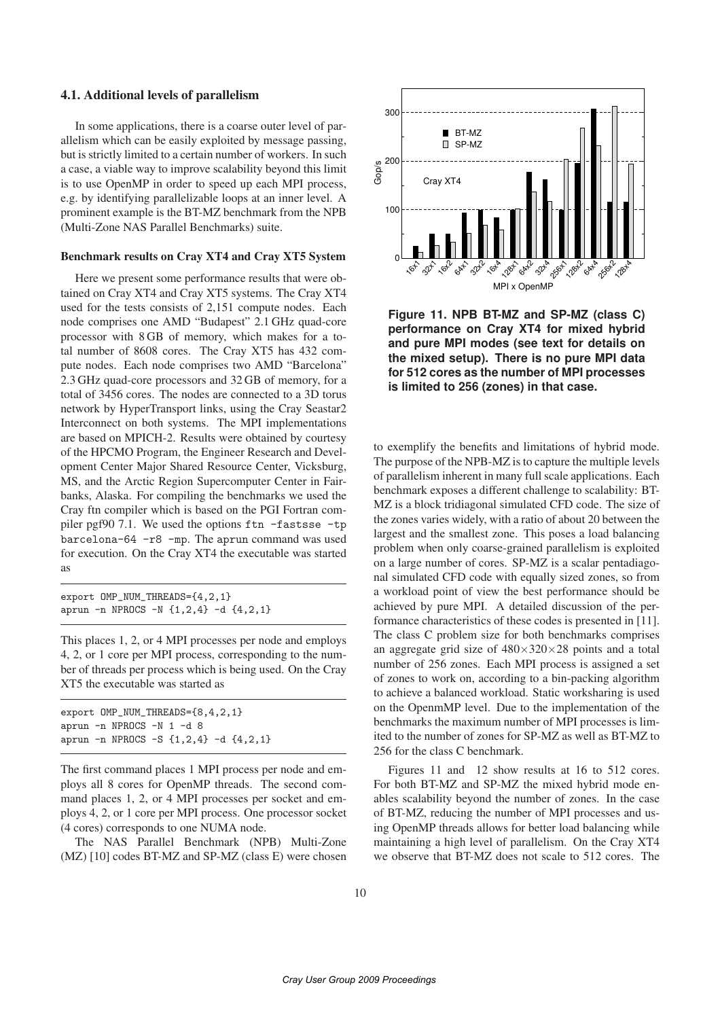### **4.1. Additional levels of parallelism**

In some applications, there is a coarse outer level of parallelism which can be easily exploited by message passing, but is strictly limited to a certain number of workers. In such a case, a viable way to improve scalability beyond this limit is to use OpenMP in order to speed up each MPI process, e.g. by identifying parallelizable loops at an inner level. A prominent example is the BT-MZ benchmark from the NPB (Multi-Zone NAS Parallel Benchmarks) suite.

### **Benchmark results on Cray XT4 and Cray XT5 System**

Here we present some performance results that were obtained on Cray XT4 and Cray XT5 systems. The Cray XT4 used for the tests consists of 2,151 compute nodes. Each node comprises one AMD "Budapest" 2.1 GHz quad-core processor with 8 GB of memory, which makes for a total number of 8608 cores. The Cray XT5 has 432 compute nodes. Each node comprises two AMD "Barcelona" 2.3 GHz quad-core processors and 32 GB of memory, for a total of 3456 cores. The nodes are connected to a 3D torus network by HyperTransport links, using the Cray Seastar2 Interconnect on both systems. The MPI implementations are based on MPICH-2. Results were obtained by courtesy of the HPCMO Program, the Engineer Research and Development Center Major Shared Resource Center, Vicksburg, MS, and the Arctic Region Supercomputer Center in Fairbanks, Alaska. For compiling the benchmarks we used the Cray ftn compiler which is based on the PGI Fortran compiler pgf90 7.1. We used the options ftn -fastsse -tp barcelona-64 -r8 -mp. The aprun command was used for execution. On the Cray XT4 the executable was started as

export OMP\_NUM\_THREADS={4,2,1} aprun -n NPROCS -N {1,2,4} -d {4,2,1}

This places 1, 2, or 4 MPI processes per node and employs 4, 2, or 1 core per MPI process, corresponding to the number of threads per process which is being used. On the Cray XT5 the executable was started as

export OMP\_NUM\_THREADS={8,4,2,1} aprun -n NPROCS -N 1 -d 8 aprun -n NPROCS -S {1,2,4} -d {4,2,1}

The first command places 1 MPI process per node and employs all 8 cores for OpenMP threads. The second command places 1, 2, or 4 MPI processes per socket and employs 4, 2, or 1 core per MPI process. One processor socket (4 cores) corresponds to one NUMA node.

The NAS Parallel Benchmark (NPB) Multi-Zone (MZ) [10] codes BT-MZ and SP-MZ (class E) were chosen



**Figure 11. NPB BT-MZ and SP-MZ (class C) performance on Cray XT4 for mixed hybrid and pure MPI modes (see text for details on the mixed setup). There is no pure MPI data for 512 cores as the number of MPI processes is limited to 256 (zones) in that case.**

to exemplify the benefits and limitations of hybrid mode. The purpose of the NPB-MZ is to capture the multiple levels of parallelism inherent in many full scale applications. Each benchmark exposes a different challenge to scalability: BT-MZ is a block tridiagonal simulated CFD code. The size of the zones varies widely, with a ratio of about 20 between the largest and the smallest zone. This poses a load balancing problem when only coarse-grained parallelism is exploited on a large number of cores. SP-MZ is a scalar pentadiagonal simulated CFD code with equally sized zones, so from a workload point of view the best performance should be achieved by pure MPI. A detailed discussion of the performance characteristics of these codes is presented in [11]. The class C problem size for both benchmarks comprises an aggregate grid size of  $480\times320\times28$  points and a total number of 256 zones. Each MPI process is assigned a set of zones to work on, according to a bin-packing algorithm to achieve a balanced workload. Static worksharing is used on the OpenmMP level. Due to the implementation of the benchmarks the maximum number of MPI processes is limited to the number of zones for SP-MZ as well as BT-MZ to 256 for the class C benchmark.

Figures 11 and 12 show results at 16 to 512 cores. For both BT-MZ and SP-MZ the mixed hybrid mode enables scalability beyond the number of zones. In the case of BT-MZ, reducing the number of MPI processes and using OpenMP threads allows for better load balancing while maintaining a high level of parallelism. On the Cray XT4 we observe that BT-MZ does not scale to 512 cores. The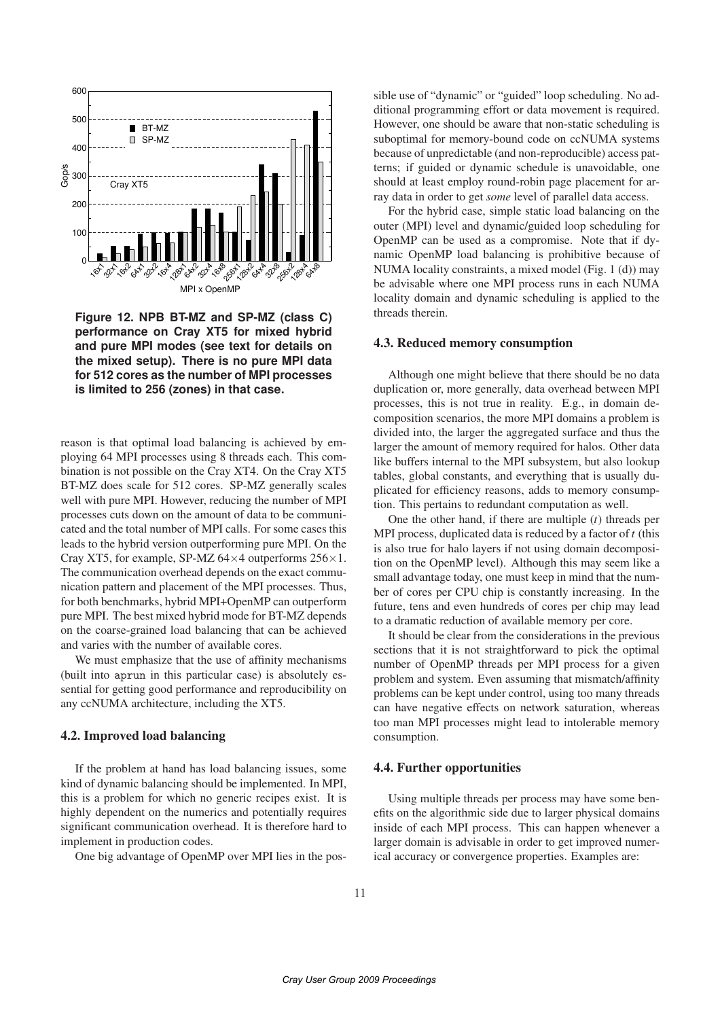

**Figure 12. NPB BT-MZ and SP-MZ (class C) performance on Cray XT5 for mixed hybrid and pure MPI modes (see text for details on the mixed setup). There is no pure MPI data for 512 cores as the number of MPI processes is limited to 256 (zones) in that case.**

reason is that optimal load balancing is achieved by employing 64 MPI processes using 8 threads each. This combination is not possible on the Cray XT4. On the Cray XT5 BT-MZ does scale for 512 cores. SP-MZ generally scales well with pure MPI. However, reducing the number of MPI processes cuts down on the amount of data to be communicated and the total number of MPI calls. For some cases this leads to the hybrid version outperforming pure MPI. On the Cray XT5, for example, SP-MZ 64×4 outperforms 256×1. The communication overhead depends on the exact communication pattern and placement of the MPI processes. Thus, for both benchmarks, hybrid MPI+OpenMP can outperform pure MPI. The best mixed hybrid mode for BT-MZ depends on the coarse-grained load balancing that can be achieved and varies with the number of available cores.

We must emphasize that the use of affinity mechanisms (built into aprun in this particular case) is absolutely essential for getting good performance and reproducibility on any ccNUMA architecture, including the XT5.

### **4.2. Improved load balancing**

If the problem at hand has load balancing issues, some kind of dynamic balancing should be implemented. In MPI, this is a problem for which no generic recipes exist. It is highly dependent on the numerics and potentially requires significant communication overhead. It is therefore hard to implement in production codes.

One big advantage of OpenMP over MPI lies in the pos-

sible use of "dynamic" or "guided" loop scheduling. No additional programming effort or data movement is required. However, one should be aware that non-static scheduling is suboptimal for memory-bound code on ccNUMA systems because of unpredictable (and non-reproducible) access patterns; if guided or dynamic schedule is unavoidable, one should at least employ round-robin page placement for array data in order to get *some* level of parallel data access.

For the hybrid case, simple static load balancing on the outer (MPI) level and dynamic/guided loop scheduling for OpenMP can be used as a compromise. Note that if dynamic OpenMP load balancing is prohibitive because of NUMA locality constraints, a mixed model (Fig. 1 (d)) may be advisable where one MPI process runs in each NUMA locality domain and dynamic scheduling is applied to the threads therein.

### **4.3. Reduced memory consumption**

Although one might believe that there should be no data duplication or, more generally, data overhead between MPI processes, this is not true in reality. E.g., in domain decomposition scenarios, the more MPI domains a problem is divided into, the larger the aggregated surface and thus the larger the amount of memory required for halos. Other data like buffers internal to the MPI subsystem, but also lookup tables, global constants, and everything that is usually duplicated for efficiency reasons, adds to memory consumption. This pertains to redundant computation as well.

One the other hand, if there are multiple (*t*) threads per MPI process, duplicated data is reduced by a factor of *t* (this is also true for halo layers if not using domain decomposition on the OpenMP level). Although this may seem like a small advantage today, one must keep in mind that the number of cores per CPU chip is constantly increasing. In the future, tens and even hundreds of cores per chip may lead to a dramatic reduction of available memory per core.

It should be clear from the considerations in the previous sections that it is not straightforward to pick the optimal number of OpenMP threads per MPI process for a given problem and system. Even assuming that mismatch/affinity problems can be kept under control, using too many threads can have negative effects on network saturation, whereas too man MPI processes might lead to intolerable memory consumption.

### **4.4. Further opportunities**

Using multiple threads per process may have some benefits on the algorithmic side due to larger physical domains inside of each MPI process. This can happen whenever a larger domain is advisable in order to get improved numerical accuracy or convergence properties. Examples are: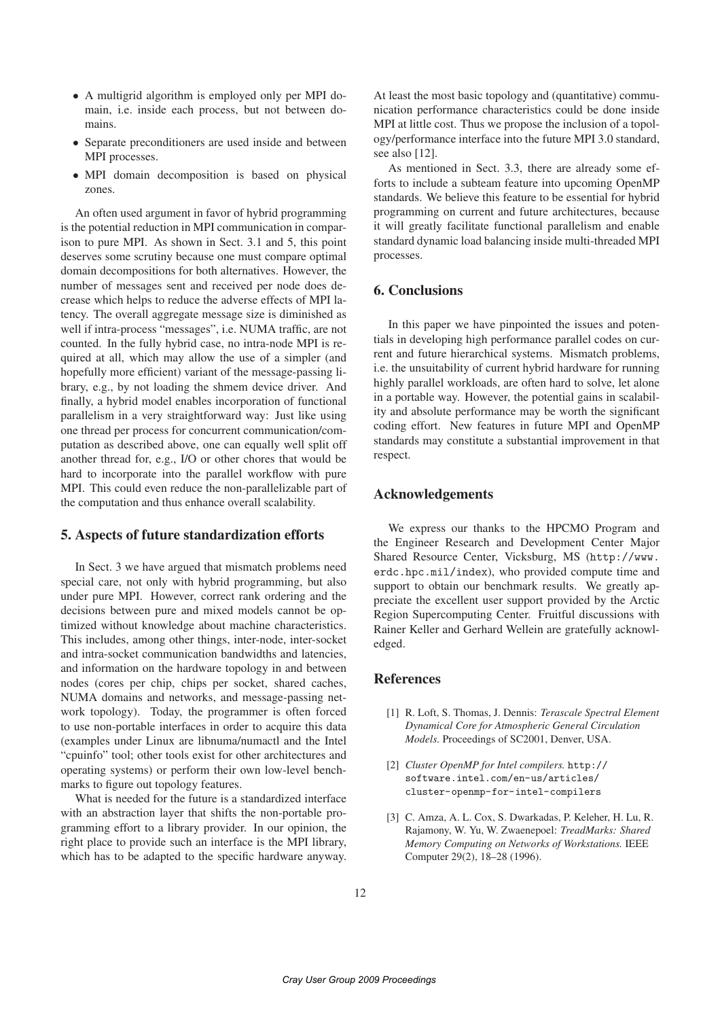- A multigrid algorithm is employed only per MPI domain, i.e. inside each process, but not between domains.
- Separate preconditioners are used inside and between MPI processes.
- MPI domain decomposition is based on physical zones.

An often used argument in favor of hybrid programming is the potential reduction in MPI communication in comparison to pure MPI. As shown in Sect. 3.1 and 5, this point deserves some scrutiny because one must compare optimal domain decompositions for both alternatives. However, the number of messages sent and received per node does decrease which helps to reduce the adverse effects of MPI latency. The overall aggregate message size is diminished as well if intra-process "messages", i.e. NUMA traffic, are not counted. In the fully hybrid case, no intra-node MPI is required at all, which may allow the use of a simpler (and hopefully more efficient) variant of the message-passing library, e.g., by not loading the shmem device driver. And finally, a hybrid model enables incorporation of functional parallelism in a very straightforward way: Just like using one thread per process for concurrent communication/computation as described above, one can equally well split off another thread for, e.g., I/O or other chores that would be hard to incorporate into the parallel workflow with pure MPI. This could even reduce the non-parallelizable part of the computation and thus enhance overall scalability.

# **5. Aspects of future standardization efforts**

In Sect. 3 we have argued that mismatch problems need special care, not only with hybrid programming, but also under pure MPI. However, correct rank ordering and the decisions between pure and mixed models cannot be optimized without knowledge about machine characteristics. This includes, among other things, inter-node, inter-socket and intra-socket communication bandwidths and latencies, and information on the hardware topology in and between nodes (cores per chip, chips per socket, shared caches, NUMA domains and networks, and message-passing network topology). Today, the programmer is often forced to use non-portable interfaces in order to acquire this data (examples under Linux are libnuma/numactl and the Intel "cpuinfo" tool; other tools exist for other architectures and operating systems) or perform their own low-level benchmarks to figure out topology features.

What is needed for the future is a standardized interface with an abstraction layer that shifts the non-portable programming effort to a library provider. In our opinion, the right place to provide such an interface is the MPI library, which has to be adapted to the specific hardware anyway. At least the most basic topology and (quantitative) communication performance characteristics could be done inside MPI at little cost. Thus we propose the inclusion of a topology/performance interface into the future MPI 3.0 standard, see also [12].

As mentioned in Sect. 3.3, there are already some efforts to include a subteam feature into upcoming OpenMP standards. We believe this feature to be essential for hybrid programming on current and future architectures, because it will greatly facilitate functional parallelism and enable standard dynamic load balancing inside multi-threaded MPI processes.

# **6. Conclusions**

In this paper we have pinpointed the issues and potentials in developing high performance parallel codes on current and future hierarchical systems. Mismatch problems, i.e. the unsuitability of current hybrid hardware for running highly parallel workloads, are often hard to solve, let alone in a portable way. However, the potential gains in scalability and absolute performance may be worth the significant coding effort. New features in future MPI and OpenMP standards may constitute a substantial improvement in that respect.

### **Acknowledgements**

We express our thanks to the HPCMO Program and the Engineer Research and Development Center Major Shared Resource Center, Vicksburg, MS (http://www. erdc.hpc.mil/index), who provided compute time and support to obtain our benchmark results. We greatly appreciate the excellent user support provided by the Arctic Region Supercomputing Center. Fruitful discussions with Rainer Keller and Gerhard Wellein are gratefully acknowledged.

### **References**

- [1] R. Loft, S. Thomas, J. Dennis: *Terascale Spectral Element Dynamical Core for Atmospheric General Circulation Models.* Proceedings of SC2001, Denver, USA.
- [2] *Cluster OpenMP for Intel compilers.* http:// software.intel.com/en-us/articles/ cluster-openmp-for-intel-compilers
- [3] C. Amza, A. L. Cox, S. Dwarkadas, P. Keleher, H. Lu, R. Rajamony, W. Yu, W. Zwaenepoel: *TreadMarks: Shared Memory Computing on Networks of Workstations.* IEEE Computer 29(2), 18–28 (1996).